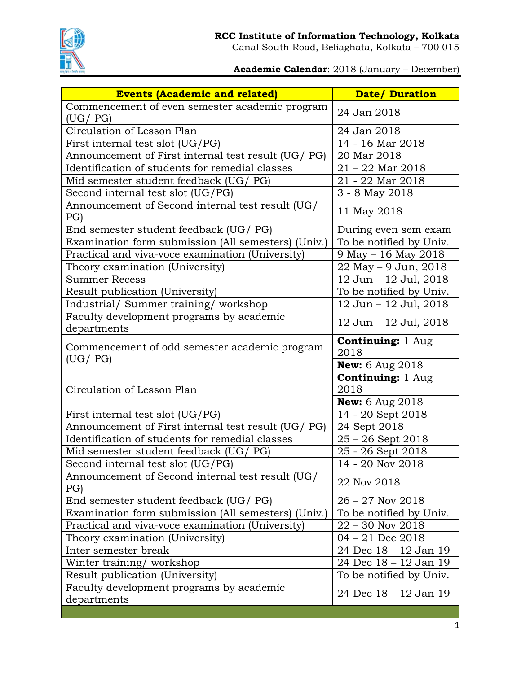

Canal South Road, Beliaghata, Kolkata – 700 015

## **Academic Calendar**: 2018 (January – December)

| <b>Events (Academic and related)</b>                    | <b>Date/ Duration</b>            |
|---------------------------------------------------------|----------------------------------|
| Commencement of even semester academic program          | 24 Jan 2018                      |
| (UG / PG)                                               |                                  |
| Circulation of Lesson Plan                              | 24 Jan 2018                      |
| First internal test slot (UG/PG)                        | 14 - 16 Mar 2018                 |
| Announcement of First internal test result (UG/ PG)     | 20 Mar 2018                      |
| Identification of students for remedial classes         | $21 - 22$ Mar 2018               |
| Mid semester student feedback (UG/ PG)                  | 21 - 22 Mar 2018                 |
| Second internal test slot (UG/PG)                       | 3 - 8 May 2018                   |
| Announcement of Second internal test result (UG/<br>PG  | 11 May 2018                      |
| End semester student feedback (UG/ PG)                  | During even sem exam             |
| Examination form submission (All semesters) (Univ.)     | To be notified by Univ.          |
| Practical and viva-voce examination (University)        | 9 May - 16 May 2018              |
| Theory examination (University)                         | 22 May - 9 Jun, 2018             |
| <b>Summer Recess</b>                                    | 12 Jun - 12 Jul, 2018            |
| Result publication (University)                         | To be notified by Univ.          |
| Industrial/ Summer training/ workshop                   | 12 Jun - 12 Jul, 2018            |
| Faculty development programs by academic<br>departments | 12 Jun - 12 Jul, 2018            |
| Commencement of odd semester academic program           | <b>Continuing: 1 Aug</b><br>2018 |
| (UG / PG)                                               | <b>New:</b> 6 Aug 2018           |
| Circulation of Lesson Plan                              | <b>Continuing: 1 Aug</b><br>2018 |
|                                                         | <b>New:</b> 6 Aug $2018$         |
| First internal test slot (UG/PG)                        | 14 - 20 Sept 2018                |
| Announcement of First internal test result (UG/<br>PG)  | 24 Sept 2018                     |
| Identification of students for remedial classes         | $25 - 26$ Sept 2018              |
| Mid semester student feedback (UG/ PG)                  | 25 - 26 Sept 2018                |
| Second internal test slot (UG/PG)                       | 14 - 20 Nov 2018                 |
| Announcement of Second internal test result (UG/<br>PG  | 22 Nov 2018                      |
| End semester student feedback (UG/ PG)                  | $26 - 27$ Nov $2018$             |
| Examination form submission (All semesters) (Univ.)     | To be notified by Univ.          |
| Practical and viva-voce examination (University)        | $22 - 30$ Nov $2018$             |
| Theory examination (University)                         | $04 - 21$ Dec 2018               |
| Inter semester break                                    | 24 Dec 18 - 12 Jan 19            |
| Winter training/workshop                                | 24 Dec 18 - 12 Jan 19            |
| Result publication (University)                         | To be notified by Univ.          |
| Faculty development programs by academic<br>departments | 24 Dec 18 - 12 Jan 19            |
|                                                         |                                  |
|                                                         |                                  |